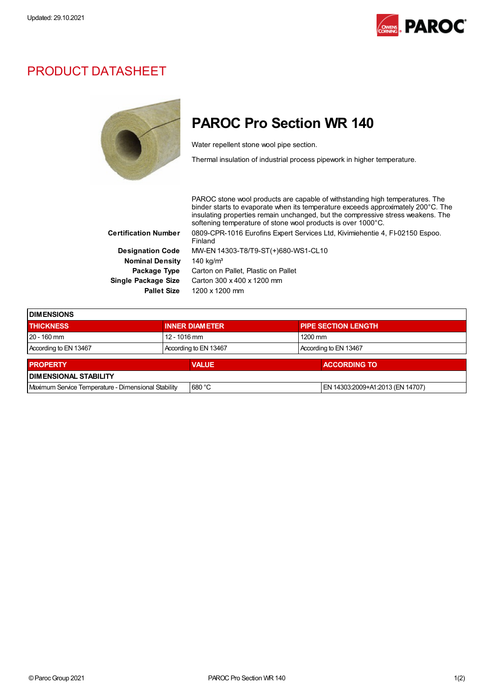

## PRODUCT DATASHEET



## PAROC Pro Section WR 140

Water repellent stone wool pipe section.

Thermal insulation of industrial process pipework in higher temperature.

PAROC stone wool products are capable of withstanding high temperatures. The binder starts to evaporate when its temperature exceeds approximately 200°C. The insulating properties remain unchanged, but the compressive stress weakens. The softening temperature of stone wool products is over 1000°C. Certification Number 0809-CPR-1016 Eurofins Expert Services Ltd, Kivimiehentie 4, FI-02150 Espoo. Finland Designation Code MW-EN 14303-T8/T9-ST(+)680-WS1-CL10 Nominal Density 140 kg/m<sup>3</sup> Package Type Carton on Pallet, Plastic on Pallet Single Package Size Carton 300 x 400 x 1200 mm Pallet Size 1200 x 1200 mm

| <b>IDIMENSIONS</b>                                  |                       |              |  |                                  |  |
|-----------------------------------------------------|-----------------------|--------------|--|----------------------------------|--|
| <b>THICKNESS</b>                                    | <b>INNER DIAMETER</b> |              |  | <b>PIPE SECTION LENGTH</b>       |  |
| $20 - 160$ mm                                       | 12 - 1016 mm          |              |  | $1200$ mm                        |  |
| According to EN 13467                               | According to EN 13467 |              |  | According to EN 13467            |  |
| <b>PROPERTY</b>                                     |                       | <b>VALUE</b> |  | <b>ACCORDING TO</b>              |  |
| <b>DIMENSIONAL STABILITY</b>                        |                       |              |  |                                  |  |
|                                                     |                       |              |  |                                  |  |
| Maximum Service Temperature - Dimensional Stability |                       | 680 °C       |  | EN 14303:2009+A1:2013 (EN 14707) |  |